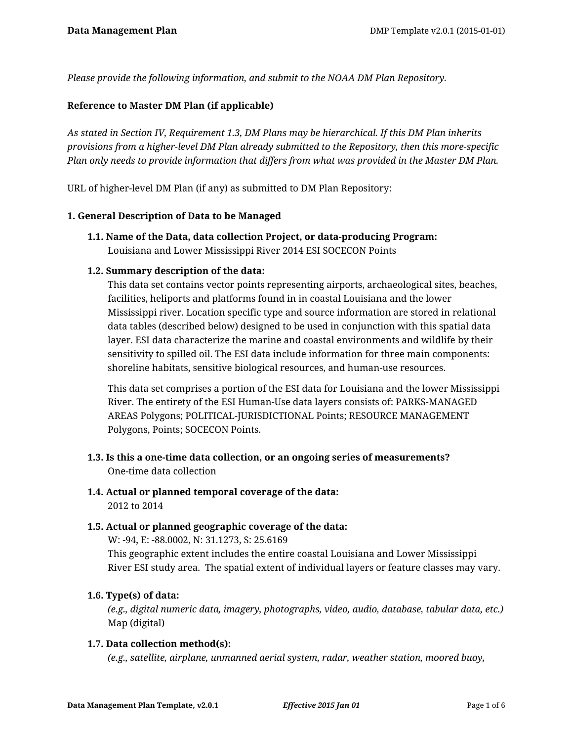*Please provide the following information, and submit to the NOAA DM Plan Repository.*

# **Reference to Master DM Plan (if applicable)**

*As stated in Section IV, Requirement 1.3, DM Plans may be hierarchical. If this DM Plan inherits provisions from a higher-level DM Plan already submitted to the Repository, then this more-specific Plan only needs to provide information that differs from what was provided in the Master DM Plan.*

URL of higher-level DM Plan (if any) as submitted to DM Plan Repository:

### **1. General Description of Data to be Managed**

**1.1. Name of the Data, data collection Project, or data-producing Program:** Louisiana and Lower Mississippi River 2014 ESI SOCECON Points

### **1.2. Summary description of the data:**

This data set contains vector points representing airports, archaeological sites, beaches, facilities, heliports and platforms found in in coastal Louisiana and the lower Mississippi river. Location specific type and source information are stored in relational data tables (described below) designed to be used in conjunction with this spatial data layer. ESI data characterize the marine and coastal environments and wildlife by their sensitivity to spilled oil. The ESI data include information for three main components: shoreline habitats, sensitive biological resources, and human-use resources.

This data set comprises a portion of the ESI data for Louisiana and the lower Mississippi River. The entirety of the ESI Human-Use data layers consists of: PARKS-MANAGED AREAS Polygons; POLITICAL-JURISDICTIONAL Points; RESOURCE MANAGEMENT Polygons, Points; SOCECON Points.

- **1.3. Is this a one-time data collection, or an ongoing series of measurements?** One-time data collection
- **1.4. Actual or planned temporal coverage of the data:** 2012 to 2014

### **1.5. Actual or planned geographic coverage of the data:**

W: -94, E: -88.0002, N: 31.1273, S: 25.6169 This geographic extent includes the entire coastal Louisiana and Lower Mississippi River ESI study area. The spatial extent of individual layers or feature classes may vary.

### **1.6. Type(s) of data:**

*(e.g., digital numeric data, imagery, photographs, video, audio, database, tabular data, etc.)* Map (digital)

### **1.7. Data collection method(s):**

*(e.g., satellite, airplane, unmanned aerial system, radar, weather station, moored buoy,*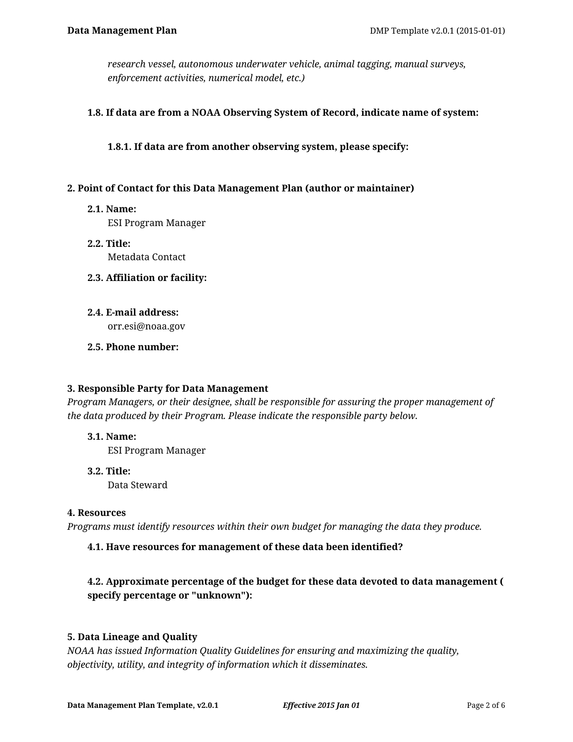*research vessel, autonomous underwater vehicle, animal tagging, manual surveys, enforcement activities, numerical model, etc.)*

### **1.8. If data are from a NOAA Observing System of Record, indicate name of system:**

**1.8.1. If data are from another observing system, please specify:**

### **2. Point of Contact for this Data Management Plan (author or maintainer)**

**2.1. Name:**

ESI Program Manager

- **2.2. Title:** Metadata Contact
- **2.3. Affiliation or facility:**
- **2.4. E-mail address:**

orr.esi@noaa.gov

**2.5. Phone number:**

### **3. Responsible Party for Data Management**

*Program Managers, or their designee, shall be responsible for assuring the proper management of the data produced by their Program. Please indicate the responsible party below.*

**3.1. Name:**

ESI Program Manager

**3.2. Title:**

Data Steward

### **4. Resources**

*Programs must identify resources within their own budget for managing the data they produce.*

# **4.1. Have resources for management of these data been identified?**

# **4.2. Approximate percentage of the budget for these data devoted to data management ( specify percentage or "unknown"):**

# **5. Data Lineage and Quality**

*NOAA has issued Information Quality Guidelines for ensuring and maximizing the quality, objectivity, utility, and integrity of information which it disseminates.*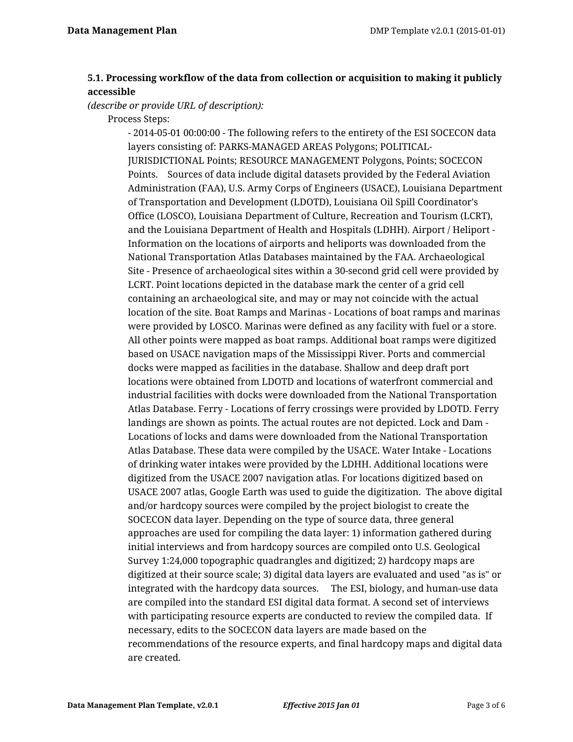# **5.1. Processing workflow of the data from collection or acquisition to making it publicly accessible**

*(describe or provide URL of description):*

Process Steps:

- 2014-05-01 00:00:00 - The following refers to the entirety of the ESI SOCECON data layers consisting of: PARKS-MANAGED AREAS Polygons; POLITICAL-JURISDICTIONAL Points; RESOURCE MANAGEMENT Polygons, Points; SOCECON Points. Sources of data include digital datasets provided by the Federal Aviation Administration (FAA), U.S. Army Corps of Engineers (USACE), Louisiana Department of Transportation and Development (LDOTD), Louisiana Oil Spill Coordinator's Office (LOSCO), Louisiana Department of Culture, Recreation and Tourism (LCRT), and the Louisiana Department of Health and Hospitals (LDHH). Airport / Heliport - Information on the locations of airports and heliports was downloaded from the National Transportation Atlas Databases maintained by the FAA. Archaeological Site - Presence of archaeological sites within a 30-second grid cell were provided by LCRT. Point locations depicted in the database mark the center of a grid cell containing an archaeological site, and may or may not coincide with the actual location of the site. Boat Ramps and Marinas - Locations of boat ramps and marinas were provided by LOSCO. Marinas were defined as any facility with fuel or a store. All other points were mapped as boat ramps. Additional boat ramps were digitized based on USACE navigation maps of the Mississippi River. Ports and commercial docks were mapped as facilities in the database. Shallow and deep draft port locations were obtained from LDOTD and locations of waterfront commercial and industrial facilities with docks were downloaded from the National Transportation Atlas Database. Ferry - Locations of ferry crossings were provided by LDOTD. Ferry landings are shown as points. The actual routes are not depicted. Lock and Dam - Locations of locks and dams were downloaded from the National Transportation Atlas Database. These data were compiled by the USACE. Water Intake - Locations of drinking water intakes were provided by the LDHH. Additional locations were digitized from the USACE 2007 navigation atlas. For locations digitized based on USACE 2007 atlas, Google Earth was used to guide the digitization. The above digital and/or hardcopy sources were compiled by the project biologist to create the SOCECON data layer. Depending on the type of source data, three general approaches are used for compiling the data layer: 1) information gathered during initial interviews and from hardcopy sources are compiled onto U.S. Geological Survey 1:24,000 topographic quadrangles and digitized; 2) hardcopy maps are digitized at their source scale; 3) digital data layers are evaluated and used "as is" or integrated with the hardcopy data sources. The ESI, biology, and human-use data are compiled into the standard ESI digital data format. A second set of interviews with participating resource experts are conducted to review the compiled data. If necessary, edits to the SOCECON data layers are made based on the recommendations of the resource experts, and final hardcopy maps and digital data are created.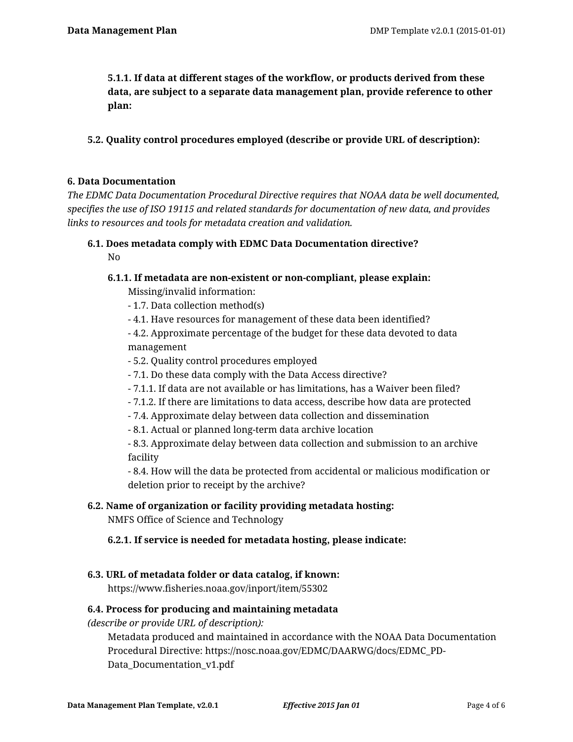**5.1.1. If data at different stages of the workflow, or products derived from these data, are subject to a separate data management plan, provide reference to other plan:**

**5.2. Quality control procedures employed (describe or provide URL of description):**

### **6. Data Documentation**

*The EDMC Data Documentation Procedural Directive requires that NOAA data be well documented, specifies the use of ISO 19115 and related standards for documentation of new data, and provides links to resources and tools for metadata creation and validation.*

**6.1. Does metadata comply with EDMC Data Documentation directive?**

No

# **6.1.1. If metadata are non-existent or non-compliant, please explain:**

Missing/invalid information:

- 1.7. Data collection method(s)

- 4.1. Have resources for management of these data been identified?

- 4.2. Approximate percentage of the budget for these data devoted to data management

- 5.2. Quality control procedures employed
- 7.1. Do these data comply with the Data Access directive?
- 7.1.1. If data are not available or has limitations, has a Waiver been filed?
- 7.1.2. If there are limitations to data access, describe how data are protected
- 7.4. Approximate delay between data collection and dissemination
- 8.1. Actual or planned long-term data archive location

- 8.3. Approximate delay between data collection and submission to an archive facility

- 8.4. How will the data be protected from accidental or malicious modification or deletion prior to receipt by the archive?

# **6.2. Name of organization or facility providing metadata hosting:**

NMFS Office of Science and Technology

**6.2.1. If service is needed for metadata hosting, please indicate:**

### **6.3. URL of metadata folder or data catalog, if known:**

https://www.fisheries.noaa.gov/inport/item/55302

### **6.4. Process for producing and maintaining metadata**

*(describe or provide URL of description):*

Metadata produced and maintained in accordance with the NOAA Data Documentation Procedural Directive: https://nosc.noaa.gov/EDMC/DAARWG/docs/EDMC\_PD-Data\_Documentation\_v1.pdf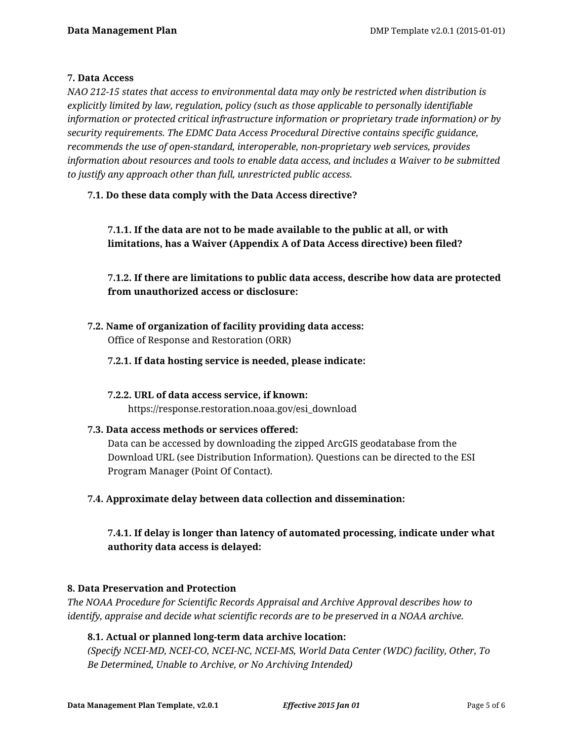### **7. Data Access**

*NAO 212-15 states that access to environmental data may only be restricted when distribution is explicitly limited by law, regulation, policy (such as those applicable to personally identifiable information or protected critical infrastructure information or proprietary trade information) or by security requirements. The EDMC Data Access Procedural Directive contains specific guidance, recommends the use of open-standard, interoperable, non-proprietary web services, provides information about resources and tools to enable data access, and includes a Waiver to be submitted to justify any approach other than full, unrestricted public access.*

# **7.1. Do these data comply with the Data Access directive?**

**7.1.1. If the data are not to be made available to the public at all, or with limitations, has a Waiver (Appendix A of Data Access directive) been filed?**

**7.1.2. If there are limitations to public data access, describe how data are protected from unauthorized access or disclosure:**

- **7.2. Name of organization of facility providing data access:** Office of Response and Restoration (ORR)
	- **7.2.1. If data hosting service is needed, please indicate:**
	- **7.2.2. URL of data access service, if known:** https://response.restoration.noaa.gov/esi\_download
- **7.3. Data access methods or services offered:** Data can be accessed by downloading the zipped ArcGIS geodatabase from the Download URL (see Distribution Information). Questions can be directed to the ESI Program Manager (Point Of Contact).
- **7.4. Approximate delay between data collection and dissemination:**

**7.4.1. If delay is longer than latency of automated processing, indicate under what authority data access is delayed:**

### **8. Data Preservation and Protection**

*The NOAA Procedure for Scientific Records Appraisal and Archive Approval describes how to identify, appraise and decide what scientific records are to be preserved in a NOAA archive.*

# **8.1. Actual or planned long-term data archive location:**

*(Specify NCEI-MD, NCEI-CO, NCEI-NC, NCEI-MS, World Data Center (WDC) facility, Other, To Be Determined, Unable to Archive, or No Archiving Intended)*